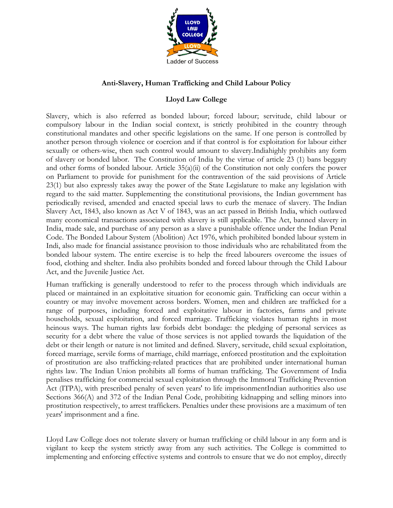

# **Anti-Slavery, Human Trafficking and Child Labour Policy**

# **Lloyd Law College**

Slavery, which is also referred as bonded labour; forced labour; servitude, child labour or compulsory labour in the Indian social context, is strictly prohibited in the country through constitutional mandates and other specific legislations on the same. If one person is controlled by another person through violence or coercion and if that control is for exploitation for labour either sexually or others-wise, then such control would amount to slavery.Indiahighly prohibits any form of slavery or bonded labor. The Constitution of India by the virtue of article 23 (1) bans beggary and other forms of bonded labour. Article 35(a)(ii) of the Constitution not only confers the power on Parliament to provide for punishment for the contravention of the said provisions of Article 23(1) but also expressly takes away the power of the State Legislature to make any legislation with regard to the said matter. Supplementing the constitutional provisions, the Indian government has periodically revised, amended and enacted special laws to curb the menace of slavery. The Indian Slavery Act, 1843, also known as Act V of 1843, was an act passed in British India, which outlawed many economical transactions associated with slavery is still applicable. The Act, banned slavery in India, made sale, and purchase of any person as a slave a punishable offence under the Indian Penal Code. The [Bonded](http://pblabour.gov.in/Content/documents/pdf/rti/rti_chapter18.pdf) Labour System [\(Abolition\)](http://pblabour.gov.in/Content/documents/pdf/rti/rti_chapter18.pdf) Act 1976, which prohibited bonded labour system in Indi, also made for financial assistance provision to those individuals who are rehabilitated from the bonded labour system. The entire exercise is to help the freed labourers overcome the issues of food, clothing and shelter. India also prohibits bonded and forced labour through the Child Labour Act, and the Juvenile Justice Act.

Human trafficking is generally understood to refer to the process through which individuals are placed or maintained in an exploitative situation for economic gain. Trafficking can occur within a country or may involve movement across borders. Women, men and children are trafficked for a range of purposes, including forced and exploitative labour in factories, farms and private households, sexual exploitation, and forced marriage. Trafficking violates human rights in most heinous ways. The human rights law forbids debt bondage: the pledging of personal services as security for a debt where the value of those services is not applied towards the liquidation of the debt or their length or nature is not limited and defined. Slavery, servitude, child sexual exploitation, forced marriage, servile forms of marriage, child marriage, enforced prostitution and the exploitation of prostitution are also trafficking-related practices that are prohibited under international human rights law. The Indian Union prohibits all forms of human trafficking. The Government of India penalises trafficking for commercial sexual exploitation through the Immoral Trafficking Prevention Act (ITPA), with prescribed penalty of seven years' to life imprisonmentIndian authorities also use Sections 366(A) and 372 of the Indian Penal Code, prohibiting kidnapping and selling minors into prostitution respectively, to arrest traffickers. Penalties under these provisions are a maximum of ten years' imprisonment and a fine.

Lloyd Law College does not tolerate slavery or human trafficking or child labour in any form and is vigilant to keep the system strictly away from any such activities. The College is committed to implementing and enforcing effective systems and controls to ensure that we do not employ, directly